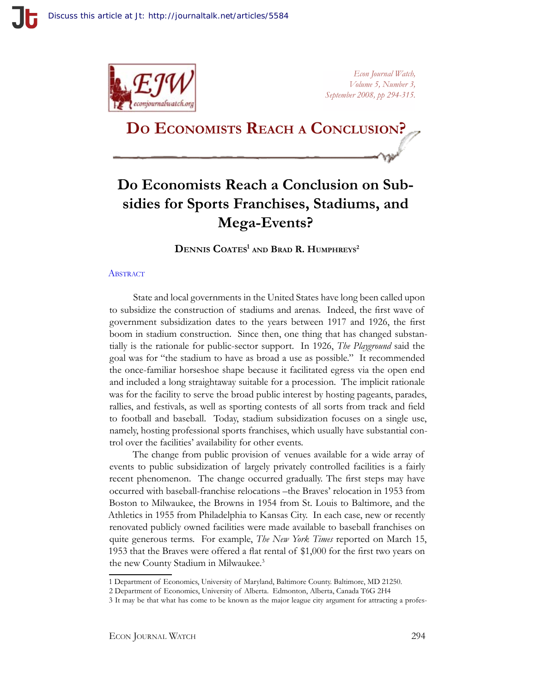

*Econ Journal Watch, Volume 5, Number 3, September 2008, pp 294-315.*

# **Do Economists Reach a Conclusion?**

## **Do Economists Reach a Conclusion on Subsidies for Sports Franchises, Stadiums, and Mega-Events?**

**Dennis Coates1 and Brad R. Humphreys2**

#### **ABSTRACT**

State and local governments in the United States have long been called upon to subsidize the construction of stadiums and arenas. Indeed, the first wave of government subsidization dates to the years between 1917 and 1926, the first boom in stadium construction. Since then, one thing that has changed substantially is the rationale for public-sector support. In 1926, *The Playground* said the goal was for "the stadium to have as broad a use as possible." It recommended the once-familiar horseshoe shape because it facilitated egress via the open end and included a long straightaway suitable for a procession. The implicit rationale was for the facility to serve the broad public interest by hosting pageants, parades, rallies, and festivals, as well as sporting contests of all sorts from track and field to football and baseball. Today, stadium subsidization focuses on a single use, namely, hosting professional sports franchises, which usually have substantial control over the facilities' availability for other events.

The change from public provision of venues available for a wide array of events to public subsidization of largely privately controlled facilities is a fairly recent phenomenon. The change occurred gradually. The first steps may have occurred with baseball-franchise relocations –the Braves' relocation in 1953 from Boston to Milwaukee, the Browns in 1954 from St. Louis to Baltimore, and the Athletics in 1955 from Philadelphia to Kansas City. In each case, new or recently renovated publicly owned facilities were made available to baseball franchises on quite generous terms. For example, *The New York Times* reported on March 15, 1953 that the Braves were offered a flat rental of \$1,000 for the first two years on the new County Stadium in Milwaukee.<sup>3</sup>

<sup>1</sup> Department of Economics, University of Maryland, Baltimore County. Baltimore, MD 21250.

<sup>2</sup> Department of Economics, University of Alberta. Edmonton, Alberta, Canada T6G 2H4

<sup>3</sup> It may be that what has come to be known as the major league city argument for attracting a profes-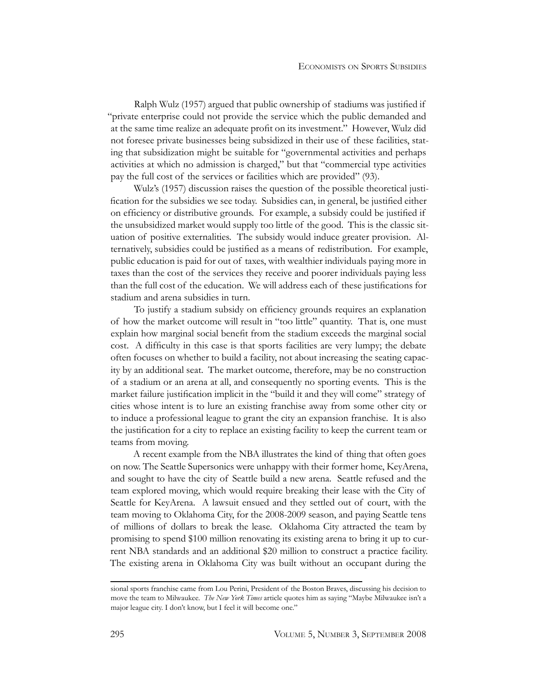Ralph Wulz (1957) argued that public ownership of stadiums was justified if "private enterprise could not provide the service which the public demanded and at the same time realize an adequate profit on its investment." However, Wulz did not foresee private businesses being subsidized in their use of these facilities, stating that subsidization might be suitable for "governmental activities and perhaps activities at which no admission is charged," but that "commercial type activities pay the full cost of the services or facilities which are provided" (93).

Wulz's (1957) discussion raises the question of the possible theoretical justification for the subsidies we see today. Subsidies can, in general, be justified either on efficiency or distributive grounds. For example, a subsidy could be justified if the unsubsidized market would supply too little of the good. This is the classic situation of positive externalities. The subsidy would induce greater provision. Alternatively, subsidies could be justified as a means of redistribution. For example, public education is paid for out of taxes, with wealthier individuals paying more in taxes than the cost of the services they receive and poorer individuals paying less than the full cost of the education. We will address each of these justifications for stadium and arena subsidies in turn.

To justify a stadium subsidy on efficiency grounds requires an explanation of how the market outcome will result in "too little" quantity. That is, one must explain how marginal social benefit from the stadium exceeds the marginal social cost. A difficulty in this case is that sports facilities are very lumpy; the debate often focuses on whether to build a facility, not about increasing the seating capacity by an additional seat. The market outcome, therefore, may be no construction of a stadium or an arena at all, and consequently no sporting events. This is the market failure justification implicit in the "build it and they will come" strategy of cities whose intent is to lure an existing franchise away from some other city or to induce a professional league to grant the city an expansion franchise. It is also the justification for a city to replace an existing facility to keep the current team or teams from moving.

A recent example from the NBA illustrates the kind of thing that often goes on now. The Seattle Supersonics were unhappy with their former home, KeyArena, and sought to have the city of Seattle build a new arena. Seattle refused and the team explored moving, which would require breaking their lease with the City of Seattle for KeyArena. A lawsuit ensued and they settled out of court, with the team moving to Oklahoma City, for the 2008-2009 season, and paying Seattle tens of millions of dollars to break the lease. Oklahoma City attracted the team by promising to spend \$100 million renovating its existing arena to bring it up to current NBA standards and an additional \$20 million to construct a practice facility. The existing arena in Oklahoma City was built without an occupant during the

sional sports franchise came from Lou Perini, President of the Boston Braves, discussing his decision to move the team to Milwaukee. *The New York Times* article quotes him as saying "Maybe Milwaukee isn't a major league city. I don't know, but I feel it will become one."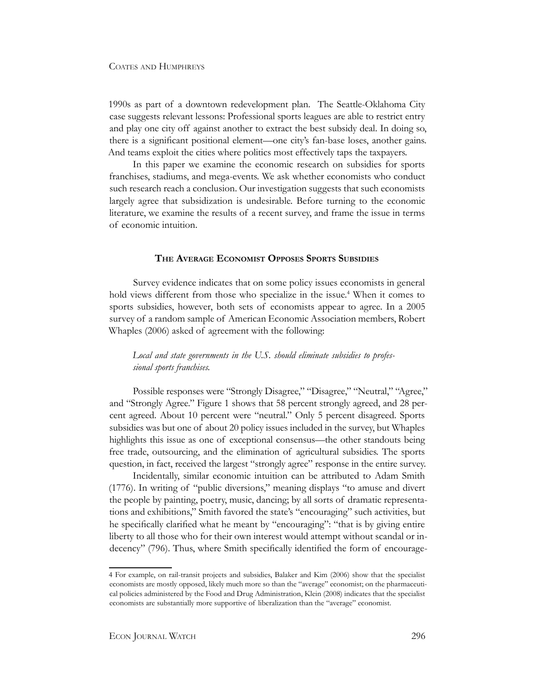1990s as part of a downtown redevelopment plan. The Seattle-Oklahoma City case suggests relevant lessons: Professional sports leagues are able to restrict entry and play one city off against another to extract the best subsidy deal. In doing so, there is a significant positional element—one city's fan-base loses, another gains. And teams exploit the cities where politics most effectively taps the taxpayers.

In this paper we examine the economic research on subsidies for sports franchises, stadiums, and mega-events. We ask whether economists who conduct such research reach a conclusion. Our investigation suggests that such economists largely agree that subsidization is undesirable. Before turning to the economic literature, we examine the results of a recent survey, and frame the issue in terms of economic intuition.

#### **The Average Economist Opposes Sports Subsidies**

Survey evidence indicates that on some policy issues economists in general hold views different from those who specialize in the issue.<sup>4</sup> When it comes to sports subsidies, however, both sets of economists appear to agree. In a 2005 survey of a random sample of American Economic Association members, Robert Whaples (2006) asked of agreement with the following:

*Local and state governments in the U.S. should eliminate subsidies to professional sports franchises.*

Possible responses were "Strongly Disagree," "Disagree," "Neutral," "Agree," and "Strongly Agree." Figure 1 shows that 58 percent strongly agreed, and 28 percent agreed. About 10 percent were "neutral." Only 5 percent disagreed. Sports subsidies was but one of about 20 policy issues included in the survey, but Whaples highlights this issue as one of exceptional consensus—the other standouts being free trade, outsourcing, and the elimination of agricultural subsidies. The sports question, in fact, received the largest "strongly agree" response in the entire survey.

Incidentally, similar economic intuition can be attributed to Adam Smith (1776). In writing of "public diversions," meaning displays "to amuse and divert the people by painting, poetry, music, dancing; by all sorts of dramatic representations and exhibitions," Smith favored the state's "encouraging" such activities, but he specifically clarified what he meant by "encouraging": "that is by giving entire liberty to all those who for their own interest would attempt without scandal or indecency" (796). Thus, where Smith specifically identified the form of encourage-

<sup>4</sup> For example, on rail-transit projects and subsidies, Balaker and Kim (2006) show that the specialist economists are mostly opposed, likely much more so than the "average" economist; on the pharmaceutical policies administered by the Food and Drug Administration, Klein (2008) indicates that the specialist economists are substantially more supportive of liberalization than the "average" economist.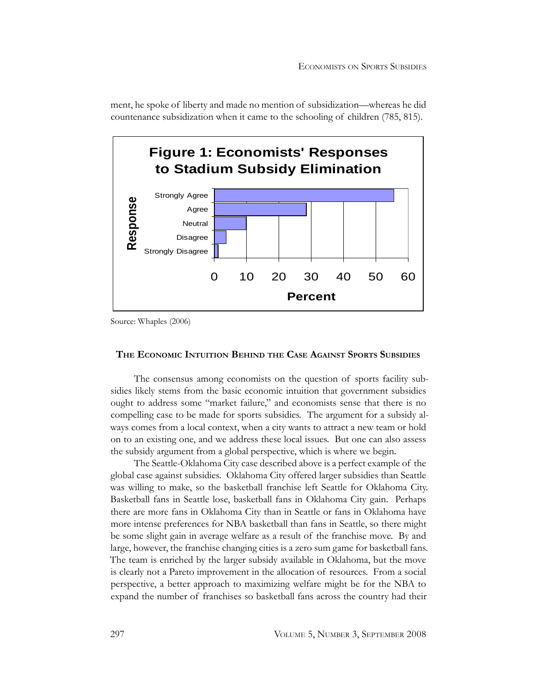ment, he spoke of liberty and made no mention of subsidization—whereas he did countenance subsidization when it came to the schooling of children (785, 815).



Source: Whaples (2006)

#### **The Economic Intuition Behind the Case Against Sports Subsidies**

The consensus among economists on the question of sports facility subsidies likely stems from the basic economic intuition that government subsidies ought to address some "market failure," and economists sense that there is no compelling case to be made for sports subsidies. The argument for a subsidy always comes from a local context, when a city wants to attract a new team or hold on to an existing one, and we address these local issues. But one can also assess the subsidy argument from a global perspective, which is where we begin.

The Seattle-Oklahoma City case described above is a perfect example of the global case against subsidies. Oklahoma City offered larger subsidies than Seattle was willing to make, so the basketball franchise left Seattle for Oklahoma City. Basketball fans in Seattle lose, basketball fans in Oklahoma City gain. Perhaps there are more fans in Oklahoma City than in Seattle or fans in Oklahoma have more intense preferences for NBA basketball than fans in Seattle, so there might be some slight gain in average welfare as a result of the franchise move. By and large, however, the franchise changing cities is a zero sum game for basketball fans. The team is enriched by the larger subsidy available in Oklahoma, but the move is clearly not a Pareto improvement in the allocation of resources. From a social perspective, a better approach to maximizing welfare might be for the NBA to expand the number of franchises so basketball fans across the country had their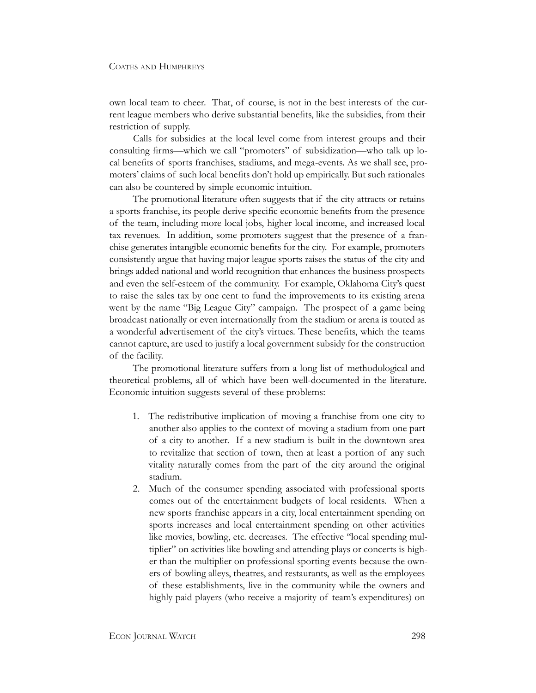own local team to cheer. That, of course, is not in the best interests of the current league members who derive substantial benefits, like the subsidies, from their restriction of supply.

Calls for subsidies at the local level come from interest groups and their consulting firms—which we call "promoters" of subsidization—who talk up local benefits of sports franchises, stadiums, and mega-events. As we shall see, promoters' claims of such local benefits don't hold up empirically. But such rationales can also be countered by simple economic intuition.

The promotional literature often suggests that if the city attracts or retains a sports franchise, its people derive specific economic benefits from the presence of the team, including more local jobs, higher local income, and increased local tax revenues. In addition, some promoters suggest that the presence of a franchise generates intangible economic benefits for the city. For example, promoters consistently argue that having major league sports raises the status of the city and brings added national and world recognition that enhances the business prospects and even the self-esteem of the community. For example, Oklahoma City's quest to raise the sales tax by one cent to fund the improvements to its existing arena went by the name "Big League City" campaign. The prospect of a game being broadcast nationally or even internationally from the stadium or arena is touted as a wonderful advertisement of the city's virtues. These benefits, which the teams cannot capture, are used to justify a local government subsidy for the construction of the facility.

The promotional literature suffers from a long list of methodological and theoretical problems, all of which have been well-documented in the literature. Economic intuition suggests several of these problems:

- 1. The redistributive implication of moving a franchise from one city to another also applies to the context of moving a stadium from one part of a city to another. If a new stadium is built in the downtown area to revitalize that section of town, then at least a portion of any such vitality naturally comes from the part of the city around the original stadium.
- 2. Much of the consumer spending associated with professional sports comes out of the entertainment budgets of local residents. When a new sports franchise appears in a city, local entertainment spending on sports increases and local entertainment spending on other activities like movies, bowling, etc. decreases. The effective "local spending multiplier" on activities like bowling and attending plays or concerts is higher than the multiplier on professional sporting events because the owners of bowling alleys, theatres, and restaurants, as well as the employees of these establishments, live in the community while the owners and highly paid players (who receive a majority of team's expenditures) on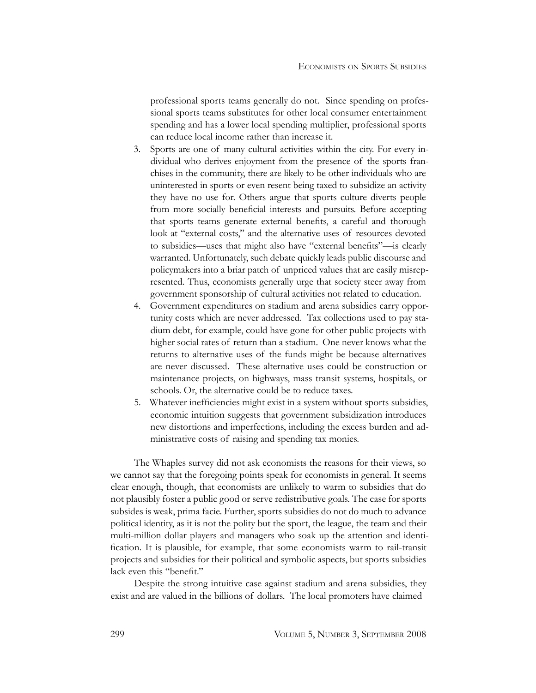professional sports teams generally do not. Since spending on professional sports teams substitutes for other local consumer entertainment spending and has a lower local spending multiplier, professional sports can reduce local income rather than increase it.

- 3. Sports are one of many cultural activities within the city. For every individual who derives enjoyment from the presence of the sports franchises in the community, there are likely to be other individuals who are uninterested in sports or even resent being taxed to subsidize an activity they have no use for. Others argue that sports culture diverts people from more socially beneficial interests and pursuits. Before accepting that sports teams generate external benefits, a careful and thorough look at "external costs," and the alternative uses of resources devoted to subsidies—uses that might also have "external benefits"—is clearly warranted. Unfortunately, such debate quickly leads public discourse and policymakers into a briar patch of unpriced values that are easily misrepresented. Thus, economists generally urge that society steer away from government sponsorship of cultural activities not related to education.
- 4. Government expenditures on stadium and arena subsidies carry opportunity costs which are never addressed. Tax collections used to pay stadium debt, for example, could have gone for other public projects with higher social rates of return than a stadium. One never knows what the returns to alternative uses of the funds might be because alternatives are never discussed. These alternative uses could be construction or maintenance projects, on highways, mass transit systems, hospitals, or schools. Or, the alternative could be to reduce taxes.
- 5. Whatever inefficiencies might exist in a system without sports subsidies, economic intuition suggests that government subsidization introduces new distortions and imperfections, including the excess burden and administrative costs of raising and spending tax monies.

The Whaples survey did not ask economists the reasons for their views, so we cannot say that the foregoing points speak for economists in general. It seems clear enough, though, that economists are unlikely to warm to subsidies that do not plausibly foster a public good or serve redistributive goals. The case for sports subsides is weak, prima facie. Further, sports subsidies do not do much to advance political identity, as it is not the polity but the sport, the league, the team and their multi-million dollar players and managers who soak up the attention and identification. It is plausible, for example, that some economists warm to rail-transit projects and subsidies for their political and symbolic aspects, but sports subsidies lack even this "benefit."

Despite the strong intuitive case against stadium and arena subsidies, they exist and are valued in the billions of dollars. The local promoters have claimed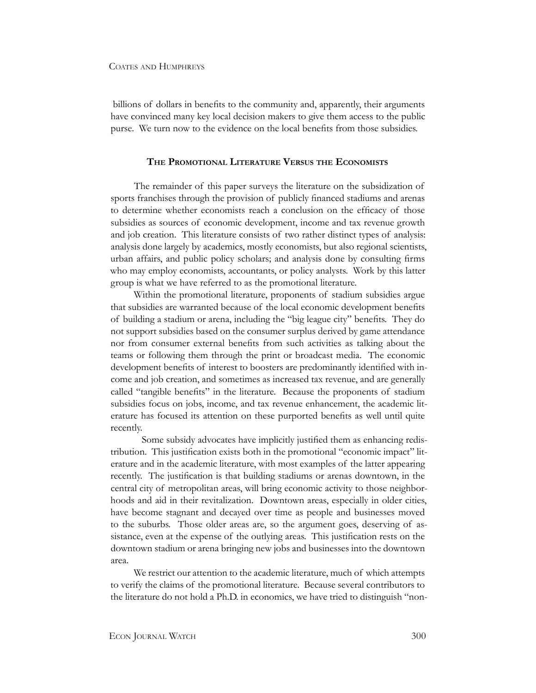billions of dollars in benefits to the community and, apparently, their arguments have convinced many key local decision makers to give them access to the public purse. We turn now to the evidence on the local benefits from those subsidies.

#### **The Promotional Literature Versus the Economists**

The remainder of this paper surveys the literature on the subsidization of sports franchises through the provision of publicly financed stadiums and arenas to determine whether economists reach a conclusion on the efficacy of those subsidies as sources of economic development, income and tax revenue growth and job creation. This literature consists of two rather distinct types of analysis: analysis done largely by academics, mostly economists, but also regional scientists, urban affairs, and public policy scholars; and analysis done by consulting firms who may employ economists, accountants, or policy analysts. Work by this latter group is what we have referred to as the promotional literature.

Within the promotional literature, proponents of stadium subsidies argue that subsidies are warranted because of the local economic development benefits of building a stadium or arena, including the "big league city" benefits. They do not support subsidies based on the consumer surplus derived by game attendance nor from consumer external benefits from such activities as talking about the teams or following them through the print or broadcast media. The economic development benefits of interest to boosters are predominantly identified with income and job creation, and sometimes as increased tax revenue, and are generally called "tangible benefits" in the literature. Because the proponents of stadium subsidies focus on jobs, income, and tax revenue enhancement, the academic literature has focused its attention on these purported benefits as well until quite recently.

Some subsidy advocates have implicitly justified them as enhancing redistribution. This justification exists both in the promotional "economic impact" literature and in the academic literature, with most examples of the latter appearing recently. The justification is that building stadiums or arenas downtown, in the central city of metropolitan areas, will bring economic activity to those neighborhoods and aid in their revitalization. Downtown areas, especially in older cities, have become stagnant and decayed over time as people and businesses moved to the suburbs. Those older areas are, so the argument goes, deserving of assistance, even at the expense of the outlying areas. This justification rests on the downtown stadium or arena bringing new jobs and businesses into the downtown area.

We restrict our attention to the academic literature, much of which attempts to verify the claims of the promotional literature. Because several contributors to the literature do not hold a Ph.D. in economics, we have tried to distinguish "non-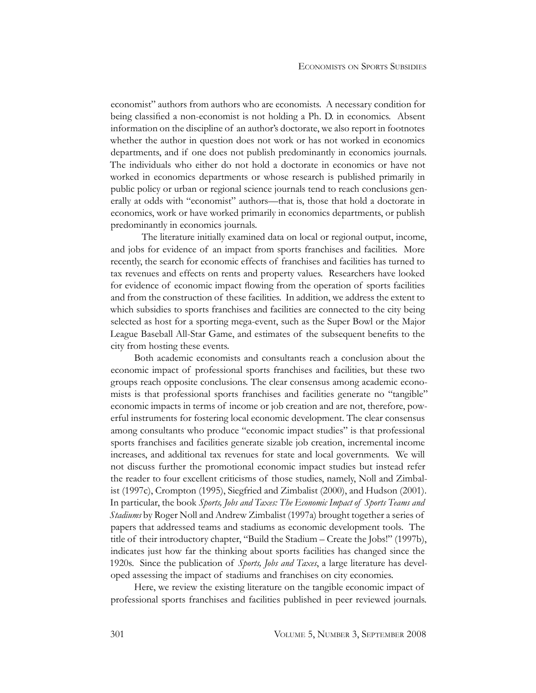economist" authors from authors who are economists. A necessary condition for being classified a non-economist is not holding a Ph. D. in economics. Absent information on the discipline of an author's doctorate, we also report in footnotes whether the author in question does not work or has not worked in economics departments, and if one does not publish predominantly in economics journals. The individuals who either do not hold a doctorate in economics or have not worked in economics departments or whose research is published primarily in public policy or urban or regional science journals tend to reach conclusions generally at odds with "economist" authors—that is, those that hold a doctorate in economics, work or have worked primarily in economics departments, or publish predominantly in economics journals.

The literature initially examined data on local or regional output, income, and jobs for evidence of an impact from sports franchises and facilities. More recently, the search for economic effects of franchises and facilities has turned to tax revenues and effects on rents and property values. Researchers have looked for evidence of economic impact flowing from the operation of sports facilities and from the construction of these facilities. In addition, we address the extent to which subsidies to sports franchises and facilities are connected to the city being selected as host for a sporting mega-event, such as the Super Bowl or the Major League Baseball All-Star Game, and estimates of the subsequent benefits to the city from hosting these events.

Both academic economists and consultants reach a conclusion about the economic impact of professional sports franchises and facilities, but these two groups reach opposite conclusions. The clear consensus among academic economists is that professional sports franchises and facilities generate no "tangible" economic impacts in terms of income or job creation and are not, therefore, powerful instruments for fostering local economic development. The clear consensus among consultants who produce "economic impact studies" is that professional sports franchises and facilities generate sizable job creation, incremental income increases, and additional tax revenues for state and local governments. We will not discuss further the promotional economic impact studies but instead refer the reader to four excellent criticisms of those studies, namely, Noll and Zimbalist (1997c), Crompton (1995), Siegfried and Zimbalist (2000), and Hudson (2001). In particular, the book *Sports, Jobs and Taxes: The Economic Impact of Sports Teams and Stadiums* by Roger Noll and Andrew Zimbalist (1997a) brought together a series of papers that addressed teams and stadiums as economic development tools. The title of their introductory chapter, "Build the Stadium – Create the Jobs!" (1997b), indicates just how far the thinking about sports facilities has changed since the 1920s. Since the publication of *Sports, Jobs and Taxes*, a large literature has developed assessing the impact of stadiums and franchises on city economies.

Here, we review the existing literature on the tangible economic impact of professional sports franchises and facilities published in peer reviewed journals.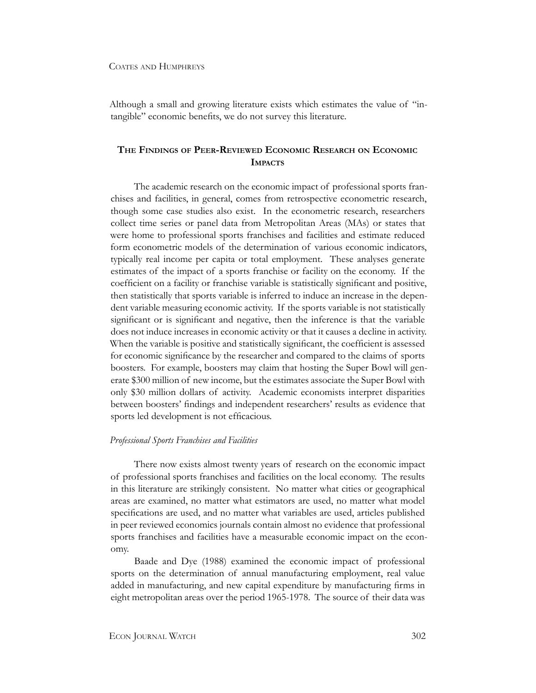Although a small and growing literature exists which estimates the value of "intangible" economic benefits, we do not survey this literature.

### **The Findings of Peer-Reviewed Economic Research on Economic Impacts**

The academic research on the economic impact of professional sports franchises and facilities, in general, comes from retrospective econometric research, though some case studies also exist. In the econometric research, researchers collect time series or panel data from Metropolitan Areas (MAs) or states that were home to professional sports franchises and facilities and estimate reduced form econometric models of the determination of various economic indicators, typically real income per capita or total employment. These analyses generate estimates of the impact of a sports franchise or facility on the economy. If the coefficient on a facility or franchise variable is statistically significant and positive, then statistically that sports variable is inferred to induce an increase in the dependent variable measuring economic activity. If the sports variable is not statistically significant or is significant and negative, then the inference is that the variable does not induce increases in economic activity or that it causes a decline in activity. When the variable is positive and statistically significant, the coefficient is assessed for economic significance by the researcher and compared to the claims of sports boosters. For example, boosters may claim that hosting the Super Bowl will generate \$300 million of new income, but the estimates associate the Super Bowl with only \$30 million dollars of activity. Academic economists interpret disparities between boosters' findings and independent researchers' results as evidence that sports led development is not efficacious.

#### *Professional Sports Franchises and Facilities*

There now exists almost twenty years of research on the economic impact of professional sports franchises and facilities on the local economy. The results in this literature are strikingly consistent. No matter what cities or geographical areas are examined, no matter what estimators are used, no matter what model specifications are used, and no matter what variables are used, articles published in peer reviewed economics journals contain almost no evidence that professional sports franchises and facilities have a measurable economic impact on the economy.

Baade and Dye (1988) examined the economic impact of professional sports on the determination of annual manufacturing employment, real value added in manufacturing, and new capital expenditure by manufacturing firms in eight metropolitan areas over the period 1965-1978. The source of their data was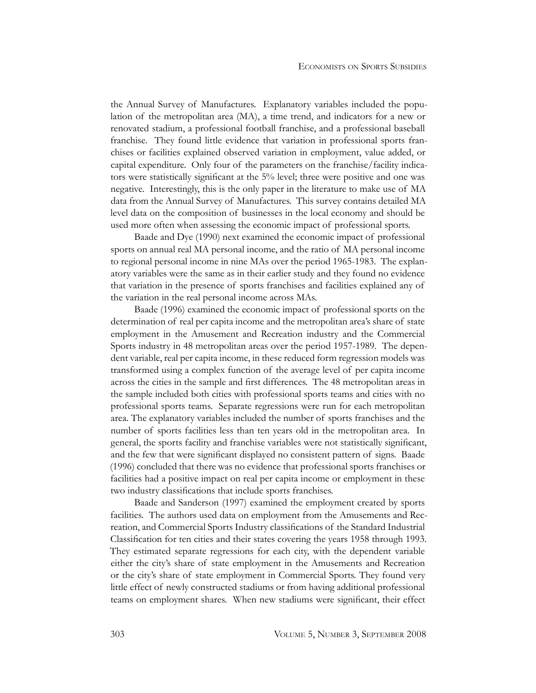the Annual Survey of Manufactures. Explanatory variables included the population of the metropolitan area (MA), a time trend, and indicators for a new or renovated stadium, a professional football franchise, and a professional baseball franchise. They found little evidence that variation in professional sports franchises or facilities explained observed variation in employment, value added, or capital expenditure. Only four of the parameters on the franchise/facility indicators were statistically significant at the 5% level; three were positive and one was negative. Interestingly, this is the only paper in the literature to make use of MA data from the Annual Survey of Manufactures. This survey contains detailed MA level data on the composition of businesses in the local economy and should be used more often when assessing the economic impact of professional sports.

Baade and Dye (1990) next examined the economic impact of professional sports on annual real MA personal income, and the ratio of MA personal income to regional personal income in nine MAs over the period 1965-1983. The explanatory variables were the same as in their earlier study and they found no evidence that variation in the presence of sports franchises and facilities explained any of the variation in the real personal income across MAs.

Baade (1996) examined the economic impact of professional sports on the determination of real per capita income and the metropolitan area's share of state employment in the Amusement and Recreation industry and the Commercial Sports industry in 48 metropolitan areas over the period 1957-1989. The dependent variable, real per capita income, in these reduced form regression models was transformed using a complex function of the average level of per capita income across the cities in the sample and first differences. The 48 metropolitan areas in the sample included both cities with professional sports teams and cities with no professional sports teams. Separate regressions were run for each metropolitan area. The explanatory variables included the number of sports franchises and the number of sports facilities less than ten years old in the metropolitan area. In general, the sports facility and franchise variables were not statistically significant, and the few that were significant displayed no consistent pattern of signs. Baade (1996) concluded that there was no evidence that professional sports franchises or facilities had a positive impact on real per capita income or employment in these two industry classifications that include sports franchises.

Baade and Sanderson (1997) examined the employment created by sports facilities. The authors used data on employment from the Amusements and Recreation, and Commercial Sports Industry classifications of the Standard Industrial Classification for ten cities and their states covering the years 1958 through 1993. They estimated separate regressions for each city, with the dependent variable either the city's share of state employment in the Amusements and Recreation or the city's share of state employment in Commercial Sports. They found very little effect of newly constructed stadiums or from having additional professional teams on employment shares. When new stadiums were significant, their effect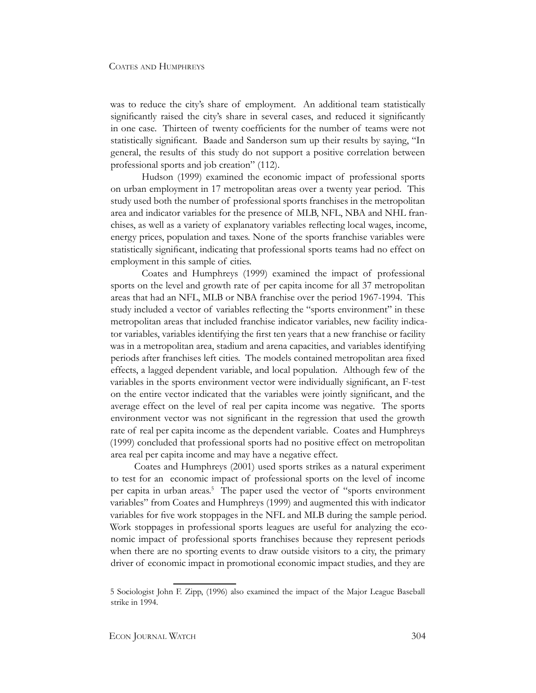was to reduce the city's share of employment. An additional team statistically significantly raised the city's share in several cases, and reduced it significantly in one case. Thirteen of twenty coefficients for the number of teams were not statistically significant. Baade and Sanderson sum up their results by saying, "In general, the results of this study do not support a positive correlation between professional sports and job creation" (112).

Hudson (1999) examined the economic impact of professional sports on urban employment in 17 metropolitan areas over a twenty year period. This study used both the number of professional sports franchises in the metropolitan area and indicator variables for the presence of MLB, NFL, NBA and NHL franchises, as well as a variety of explanatory variables reflecting local wages, income, energy prices, population and taxes. None of the sports franchise variables were statistically significant, indicating that professional sports teams had no effect on employment in this sample of cities.

Coates and Humphreys (1999) examined the impact of professional sports on the level and growth rate of per capita income for all 37 metropolitan areas that had an NFL, MLB or NBA franchise over the period 1967-1994. This study included a vector of variables reflecting the "sports environment" in these metropolitan areas that included franchise indicator variables, new facility indicator variables, variables identifying the first ten years that a new franchise or facility was in a metropolitan area, stadium and arena capacities, and variables identifying periods after franchises left cities. The models contained metropolitan area fixed effects, a lagged dependent variable, and local population. Although few of the variables in the sports environment vector were individually significant, an F-test on the entire vector indicated that the variables were jointly significant, and the average effect on the level of real per capita income was negative. The sports environment vector was not significant in the regression that used the growth rate of real per capita income as the dependent variable. Coates and Humphreys (1999) concluded that professional sports had no positive effect on metropolitan area real per capita income and may have a negative effect.

Coates and Humphreys (2001) used sports strikes as a natural experiment to test for an economic impact of professional sports on the level of income per capita in urban areas.<sup>5</sup> The paper used the vector of "sports environment variables" from Coates and Humphreys (1999) and augmented this with indicator variables for five work stoppages in the NFL and MLB during the sample period. Work stoppages in professional sports leagues are useful for analyzing the economic impact of professional sports franchises because they represent periods when there are no sporting events to draw outside visitors to a city, the primary driver of economic impact in promotional economic impact studies, and they are

<sup>5</sup> Sociologist John F. Zipp, (1996) also examined the impact of the Major League Baseball strike in 1994.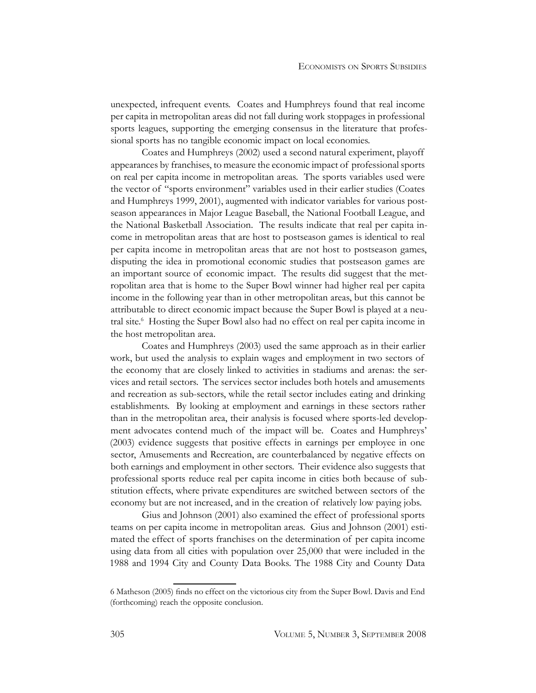unexpected, infrequent events. Coates and Humphreys found that real income per capita in metropolitan areas did not fall during work stoppages in professional sports leagues, supporting the emerging consensus in the literature that professional sports has no tangible economic impact on local economies.

Coates and Humphreys (2002) used a second natural experiment, playoff appearances by franchises, to measure the economic impact of professional sports on real per capita income in metropolitan areas. The sports variables used were the vector of "sports environment" variables used in their earlier studies (Coates and Humphreys 1999, 2001), augmented with indicator variables for various postseason appearances in Major League Baseball, the National Football League, and the National Basketball Association. The results indicate that real per capita income in metropolitan areas that are host to postseason games is identical to real per capita income in metropolitan areas that are not host to postseason games, disputing the idea in promotional economic studies that postseason games are an important source of economic impact. The results did suggest that the metropolitan area that is home to the Super Bowl winner had higher real per capita income in the following year than in other metropolitan areas, but this cannot be attributable to direct economic impact because the Super Bowl is played at a neutral site.<sup>6</sup> Hosting the Super Bowl also had no effect on real per capita income in the host metropolitan area.

Coates and Humphreys (2003) used the same approach as in their earlier work, but used the analysis to explain wages and employment in two sectors of the economy that are closely linked to activities in stadiums and arenas: the services and retail sectors. The services sector includes both hotels and amusements and recreation as sub-sectors, while the retail sector includes eating and drinking establishments. By looking at employment and earnings in these sectors rather than in the metropolitan area, their analysis is focused where sports-led development advocates contend much of the impact will be. Coates and Humphreys' (2003) evidence suggests that positive effects in earnings per employee in one sector, Amusements and Recreation, are counterbalanced by negative effects on both earnings and employment in other sectors. Their evidence also suggests that professional sports reduce real per capita income in cities both because of substitution effects, where private expenditures are switched between sectors of the economy but are not increased, and in the creation of relatively low paying jobs.

Gius and Johnson (2001) also examined the effect of professional sports teams on per capita income in metropolitan areas. Gius and Johnson (2001) estimated the effect of sports franchises on the determination of per capita income using data from all cities with population over 25,000 that were included in the 1988 and 1994 City and County Data Books. The 1988 City and County Data

<sup>6</sup> Matheson (2005) finds no effect on the victorious city from the Super Bowl. Davis and End (forthcoming) reach the opposite conclusion.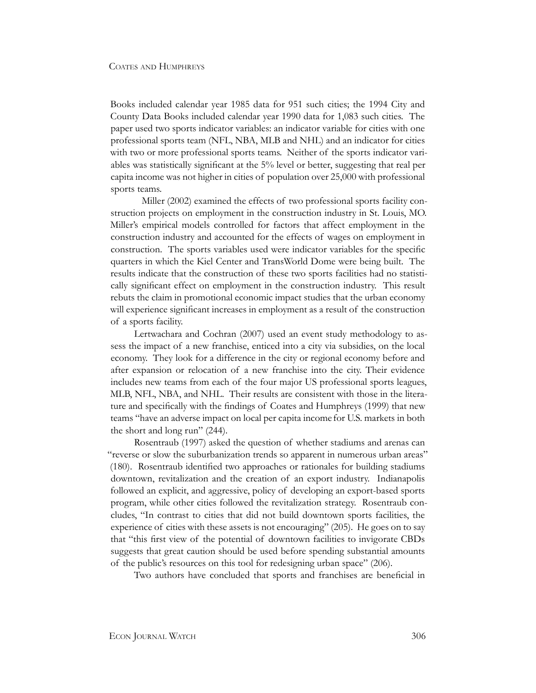Books included calendar year 1985 data for 951 such cities; the 1994 City and County Data Books included calendar year 1990 data for 1,083 such cities. The paper used two sports indicator variables: an indicator variable for cities with one professional sports team (NFL, NBA, MLB and NHL) and an indicator for cities with two or more professional sports teams. Neither of the sports indicator variables was statistically significant at the 5% level or better, suggesting that real per capita income was not higher in cities of population over 25,000 with professional sports teams.

Miller (2002) examined the effects of two professional sports facility construction projects on employment in the construction industry in St. Louis, MO. Miller's empirical models controlled for factors that affect employment in the construction industry and accounted for the effects of wages on employment in construction. The sports variables used were indicator variables for the specific quarters in which the Kiel Center and TransWorld Dome were being built. The results indicate that the construction of these two sports facilities had no statistically significant effect on employment in the construction industry. This result rebuts the claim in promotional economic impact studies that the urban economy will experience significant increases in employment as a result of the construction of a sports facility.

Lertwachara and Cochran (2007) used an event study methodology to assess the impact of a new franchise, enticed into a city via subsidies, on the local economy. They look for a difference in the city or regional economy before and after expansion or relocation of a new franchise into the city. Their evidence includes new teams from each of the four major US professional sports leagues, MLB, NFL, NBA, and NHL. Their results are consistent with those in the literature and specifically with the findings of Coates and Humphreys (1999) that new teams "have an adverse impact on local per capita income for U.S. markets in both the short and long run" (244).

Rosentraub (1997) asked the question of whether stadiums and arenas can "reverse or slow the suburbanization trends so apparent in numerous urban areas" (180). Rosentraub identified two approaches or rationales for building stadiums downtown, revitalization and the creation of an export industry. Indianapolis followed an explicit, and aggressive, policy of developing an export-based sports program, while other cities followed the revitalization strategy. Rosentraub concludes, "In contrast to cities that did not build downtown sports facilities, the experience of cities with these assets is not encouraging" (205). He goes on to say that "this first view of the potential of downtown facilities to invigorate CBDs suggests that great caution should be used before spending substantial amounts of the public's resources on this tool for redesigning urban space" (206).

Two authors have concluded that sports and franchises are beneficial in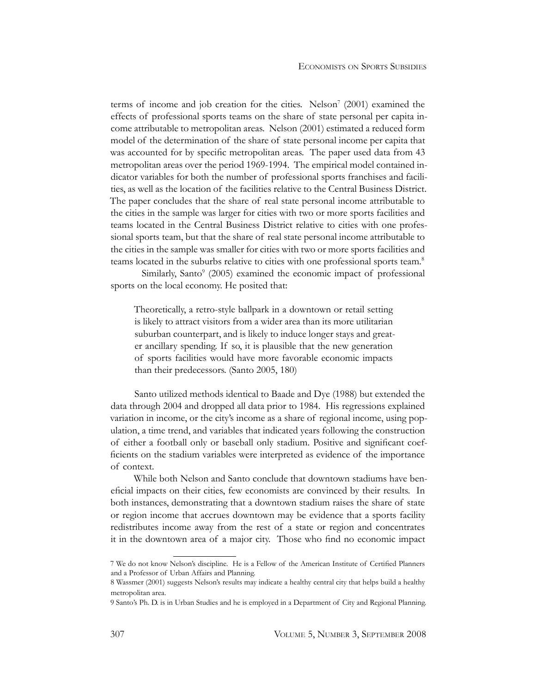terms of income and job creation for the cities. Nelson<sup>7</sup> (2001) examined the effects of professional sports teams on the share of state personal per capita income attributable to metropolitan areas. Nelson (2001) estimated a reduced form model of the determination of the share of state personal income per capita that was accounted for by specific metropolitan areas. The paper used data from 43 metropolitan areas over the period 1969-1994. The empirical model contained indicator variables for both the number of professional sports franchises and facilities, as well as the location of the facilities relative to the Central Business District. The paper concludes that the share of real state personal income attributable to the cities in the sample was larger for cities with two or more sports facilities and teams located in the Central Business District relative to cities with one professional sports team, but that the share of real state personal income attributable to the cities in the sample was smaller for cities with two or more sports facilities and teams located in the suburbs relative to cities with one professional sports team.8

Similarly, Santo<sup>9</sup> (2005) examined the economic impact of professional sports on the local economy. He posited that:

Theoretically, a retro-style ballpark in a downtown or retail setting is likely to attract visitors from a wider area than its more utilitarian suburban counterpart, and is likely to induce longer stays and greater ancillary spending. If so, it is plausible that the new generation of sports facilities would have more favorable economic impacts than their predecessors. (Santo 2005, 180)

Santo utilized methods identical to Baade and Dye (1988) but extended the data through 2004 and dropped all data prior to 1984. His regressions explained variation in income, or the city's income as a share of regional income, using population, a time trend, and variables that indicated years following the construction of either a football only or baseball only stadium. Positive and significant coefficients on the stadium variables were interpreted as evidence of the importance of context.

While both Nelson and Santo conclude that downtown stadiums have beneficial impacts on their cities, few economists are convinced by their results. In both instances, demonstrating that a downtown stadium raises the share of state or region income that accrues downtown may be evidence that a sports facility redistributes income away from the rest of a state or region and concentrates it in the downtown area of a major city. Those who find no economic impact

<sup>7</sup> We do not know Nelson's discipline. He is a Fellow of the American Institute of Certified Planners and a Professor of Urban Affairs and Planning.

<sup>8</sup> Wassmer (2001) suggests Nelson's results may indicate a healthy central city that helps build a healthy metropolitan area.

<sup>9</sup> Santo's Ph. D. is in Urban Studies and he is employed in a Department of City and Regional Planning.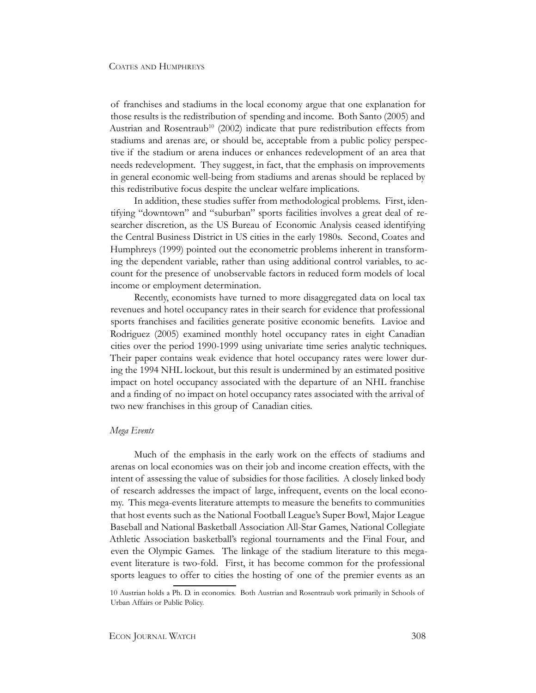of franchises and stadiums in the local economy argue that one explanation for those results is the redistribution of spending and income. Both Santo (2005) and Austrian and Rosentraub<sup>10</sup> (2002) indicate that pure redistribution effects from stadiums and arenas are, or should be, acceptable from a public policy perspective if the stadium or arena induces or enhances redevelopment of an area that needs redevelopment. They suggest, in fact, that the emphasis on improvements in general economic well-being from stadiums and arenas should be replaced by this redistributive focus despite the unclear welfare implications.

In addition, these studies suffer from methodological problems. First, identifying "downtown" and "suburban" sports facilities involves a great deal of researcher discretion, as the US Bureau of Economic Analysis ceased identifying the Central Business District in US cities in the early 1980s. Second, Coates and Humphreys (1999) pointed out the econometric problems inherent in transforming the dependent variable, rather than using additional control variables, to account for the presence of unobservable factors in reduced form models of local income or employment determination.

Recently, economists have turned to more disaggregated data on local tax revenues and hotel occupancy rates in their search for evidence that professional sports franchises and facilities generate positive economic benefits. Lavioe and Rodriguez (2005) examined monthly hotel occupancy rates in eight Canadian cities over the period 1990-1999 using univariate time series analytic techniques. Their paper contains weak evidence that hotel occupancy rates were lower during the 1994 NHL lockout, but this result is undermined by an estimated positive impact on hotel occupancy associated with the departure of an NHL franchise and a finding of no impact on hotel occupancy rates associated with the arrival of two new franchises in this group of Canadian cities.

#### *Mega Events*

Much of the emphasis in the early work on the effects of stadiums and arenas on local economies was on their job and income creation effects, with the intent of assessing the value of subsidies for those facilities. A closely linked body of research addresses the impact of large, infrequent, events on the local economy. This mega-events literature attempts to measure the benefits to communities that host events such as the National Football League's Super Bowl, Major League Baseball and National Basketball Association All-Star Games, National Collegiate Athletic Association basketball's regional tournaments and the Final Four, and even the Olympic Games. The linkage of the stadium literature to this megaevent literature is two-fold. First, it has become common for the professional sports leagues to offer to cities the hosting of one of the premier events as an

<sup>10</sup> Austrian holds a Ph. D. in economics. Both Austrian and Rosentraub work primarily in Schools of Urban Affairs or Public Policy.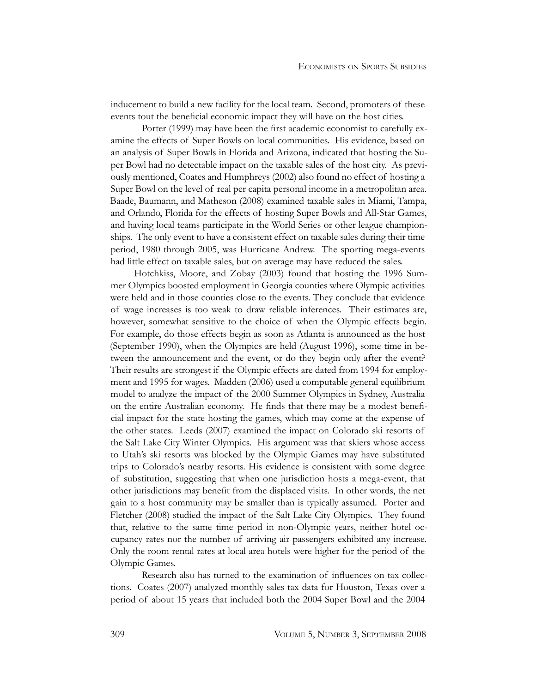inducement to build a new facility for the local team. Second, promoters of these events tout the beneficial economic impact they will have on the host cities.

Porter (1999) may have been the first academic economist to carefully examine the effects of Super Bowls on local communities. His evidence, based on an analysis of Super Bowls in Florida and Arizona, indicated that hosting the Super Bowl had no detectable impact on the taxable sales of the host city. As previously mentioned, Coates and Humphreys (2002) also found no effect of hosting a Super Bowl on the level of real per capita personal income in a metropolitan area. Baade, Baumann, and Matheson (2008) examined taxable sales in Miami, Tampa, and Orlando, Florida for the effects of hosting Super Bowls and All-Star Games, and having local teams participate in the World Series or other league championships. The only event to have a consistent effect on taxable sales during their time period, 1980 through 2005, was Hurricane Andrew. The sporting mega-events had little effect on taxable sales, but on average may have reduced the sales.

Hotchkiss, Moore, and Zobay (2003) found that hosting the 1996 Summer Olympics boosted employment in Georgia counties where Olympic activities were held and in those counties close to the events. They conclude that evidence of wage increases is too weak to draw reliable inferences. Their estimates are, however, somewhat sensitive to the choice of when the Olympic effects begin. For example, do those effects begin as soon as Atlanta is announced as the host (September 1990), when the Olympics are held (August 1996), some time in between the announcement and the event, or do they begin only after the event? Their results are strongest if the Olympic effects are dated from 1994 for employment and 1995 for wages. Madden (2006) used a computable general equilibrium model to analyze the impact of the 2000 Summer Olympics in Sydney, Australia on the entire Australian economy. He finds that there may be a modest beneficial impact for the state hosting the games, which may come at the expense of the other states. Leeds (2007) examined the impact on Colorado ski resorts of the Salt Lake City Winter Olympics. His argument was that skiers whose access to Utah's ski resorts was blocked by the Olympic Games may have substituted trips to Colorado's nearby resorts. His evidence is consistent with some degree of substitution, suggesting that when one jurisdiction hosts a mega-event, that other jurisdictions may benefit from the displaced visits. In other words, the net gain to a host community may be smaller than is typically assumed. Porter and Fletcher (2008) studied the impact of the Salt Lake City Olympics. They found that, relative to the same time period in non-Olympic years, neither hotel occupancy rates nor the number of arriving air passengers exhibited any increase. Only the room rental rates at local area hotels were higher for the period of the Olympic Games.

Research also has turned to the examination of influences on tax collections. Coates (2007) analyzed monthly sales tax data for Houston, Texas over a period of about 15 years that included both the 2004 Super Bowl and the 2004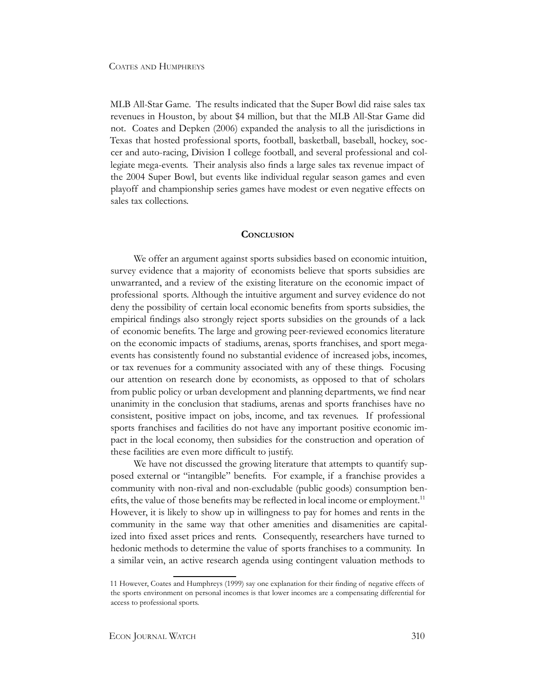MLB All-Star Game. The results indicated that the Super Bowl did raise sales tax revenues in Houston, by about \$4 million, but that the MLB All-Star Game did not. Coates and Depken (2006) expanded the analysis to all the jurisdictions in Texas that hosted professional sports, football, basketball, baseball, hockey, soccer and auto-racing, Division I college football, and several professional and collegiate mega-events. Their analysis also finds a large sales tax revenue impact of the 2004 Super Bowl, but events like individual regular season games and even playoff and championship series games have modest or even negative effects on sales tax collections.

#### **Conclusion**

We offer an argument against sports subsidies based on economic intuition, survey evidence that a majority of economists believe that sports subsidies are unwarranted, and a review of the existing literature on the economic impact of professional sports. Although the intuitive argument and survey evidence do not deny the possibility of certain local economic benefits from sports subsidies, the empirical findings also strongly reject sports subsidies on the grounds of a lack of economic benefits. The large and growing peer-reviewed economics literature on the economic impacts of stadiums, arenas, sports franchises, and sport megaevents has consistently found no substantial evidence of increased jobs, incomes, or tax revenues for a community associated with any of these things. Focusing our attention on research done by economists, as opposed to that of scholars from public policy or urban development and planning departments, we find near unanimity in the conclusion that stadiums, arenas and sports franchises have no consistent, positive impact on jobs, income, and tax revenues. If professional sports franchises and facilities do not have any important positive economic impact in the local economy, then subsidies for the construction and operation of these facilities are even more difficult to justify.

We have not discussed the growing literature that attempts to quantify supposed external or "intangible" benefits. For example, if a franchise provides a community with non-rival and non-excludable (public goods) consumption benefits, the value of those benefits may be reflected in local income or employment.<sup>11</sup> However, it is likely to show up in willingness to pay for homes and rents in the community in the same way that other amenities and disamenities are capitalized into fixed asset prices and rents. Consequently, researchers have turned to hedonic methods to determine the value of sports franchises to a community. In a similar vein, an active research agenda using contingent valuation methods to

<sup>11</sup> However, Coates and Humphreys (1999) say one explanation for their finding of negative effects of the sports environment on personal incomes is that lower incomes are a compensating differential for access to professional sports.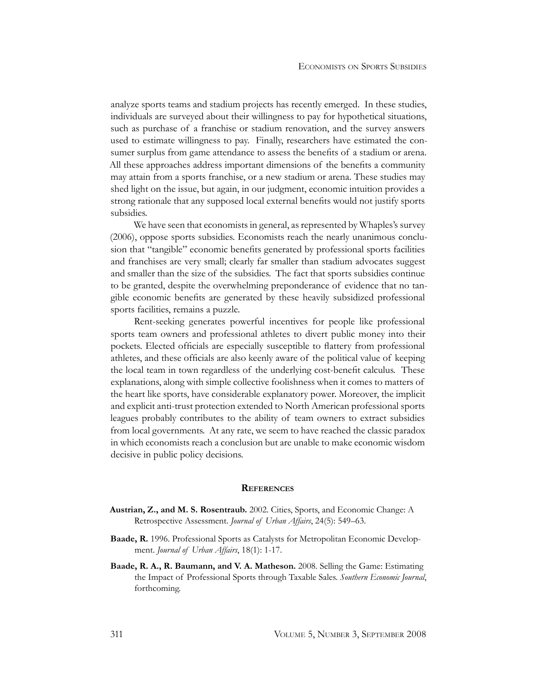analyze sports teams and stadium projects has recently emerged. In these studies, individuals are surveyed about their willingness to pay for hypothetical situations, such as purchase of a franchise or stadium renovation, and the survey answers used to estimate willingness to pay. Finally, researchers have estimated the consumer surplus from game attendance to assess the benefits of a stadium or arena. All these approaches address important dimensions of the benefits a community may attain from a sports franchise, or a new stadium or arena. These studies may shed light on the issue, but again, in our judgment, economic intuition provides a strong rationale that any supposed local external benefits would not justify sports subsidies.

We have seen that economists in general, as represented by Whaples's survey (2006), oppose sports subsidies. Economists reach the nearly unanimous conclusion that "tangible" economic benefits generated by professional sports facilities and franchises are very small; clearly far smaller than stadium advocates suggest and smaller than the size of the subsidies. The fact that sports subsidies continue to be granted, despite the overwhelming preponderance of evidence that no tangible economic benefits are generated by these heavily subsidized professional sports facilities, remains a puzzle.

Rent-seeking generates powerful incentives for people like professional sports team owners and professional athletes to divert public money into their pockets. Elected officials are especially susceptible to flattery from professional athletes, and these officials are also keenly aware of the political value of keeping the local team in town regardless of the underlying cost-benefit calculus. These explanations, along with simple collective foolishness when it comes to matters of the heart like sports, have considerable explanatory power. Moreover, the implicit and explicit anti-trust protection extended to North American professional sports leagues probably contributes to the ability of team owners to extract subsidies from local governments. At any rate, we seem to have reached the classic paradox in which economists reach a conclusion but are unable to make economic wisdom decisive in public policy decisions.

#### **References**

- **Austrian, Z., and M. S. Rosentraub.** 2002. Cities, Sports, and Economic Change: A Retrospective Assessment. *Journal of Urban Affairs*, 24(5): 549–63.
- **Baade, R.** 1996. Professional Sports as Catalysts for Metropolitan Economic Development. *Journal of Urban Affairs*, 18(1): 1-17.
- **Baade, R. A., R. Baumann, and V. A. Matheson.** 2008. Selling the Game: Estimating the Impact of Professional Sports through Taxable Sales. *Southern Economic Journal*, forthcoming.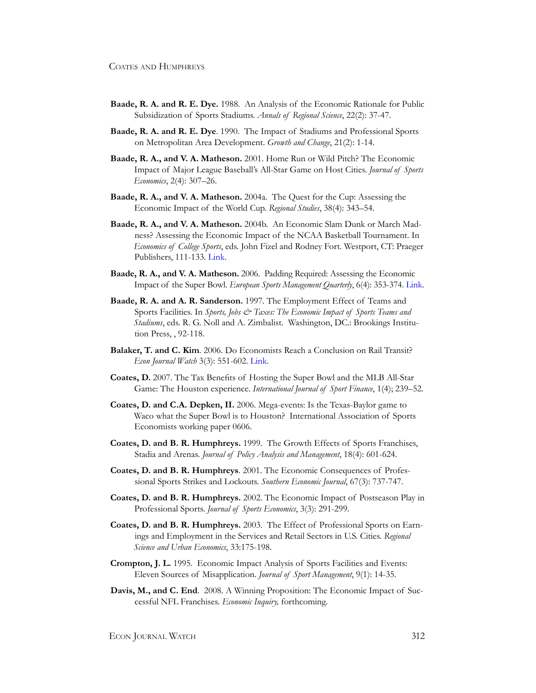- **Baade, R. A. and R. E. Dye.** 1988. An Analysis of the Economic Rationale for Public Subsidization of Sports Stadiums. *Annals of Regional Science*, 22(2): 37-47.
- **Baade, R. A. and R. E. Dye**. 1990. The Impact of Stadiums and Professional Sports on Metropolitan Area Development. *Growth and Change*, 21(2): 1-14.
- **Baade, R. A., and V. A. Matheson.** 2001. Home Run or Wild Pitch? The Economic Impact of Major League Baseball's All-Star Game on Host Cities. *Journal of Sports Economics*, 2(4): 307–26.
- **Baade, R. A., and V. A. Matheson.** 2004a. The Quest for the Cup: Assessing the Economic Impact of the World Cup. *Regional Studies*, 38(4): 343–54.
- **Baade, R. A., and V. A. Matheson.** 2004b. An Economic Slam Dunk or March Madness? Assessing the Economic Impact of the NCAA Basketball Tournament. In *Economics of College Sports*, eds. John Fizel and Rodney Fort. Westport, CT: Praeger Publishers, 111-133. [Link](http://www.econjournalwatch.org/pdf/CoatesHumphreysAbstractSeptember2008.pdf).
- **Baade, R. A., and V. A. Matheson.** 2006. Padding Required: Assessing the Economic Impact of the Super Bowl. *European Sports Management Quarterly*, 6(4): 353-374. [Link](http://ideas.repec.org/p/hcx/wpaper/0403.html).
- **Baade, R. A. and A. R. Sanderson.** 1997. The Employment Effect of Teams and Sports Facilities. In *Sports, Jobs & Taxes: The Economic Impact of Sports Teams and Stadiums*, eds. R. G. Noll and A. Zimbalist. Washington, DC.: Brookings Institution Press, , 92-118.
- **Balaker, T. and C. Kim**. 2006. Do Economists Reach a Conclusion on Rail Transit? *Econ Journal Watch* 3(3): 551-602. [Link](http://www.econjournalwatch.org/pdf/BalakerKimDoEconomistsSeptember2006.pdf).
- **Coates, D.** 2007. The Tax Benefits of Hosting the Super Bowl and the MLB All-Star Game: The Houston experience. *International Journal of Sport Finance*, 1(4); 239–52.
- **Coates, D. and C.A. Depken, II.** 2006. Mega-events: Is the Texas-Baylor game to Waco what the Super Bowl is to Houston? International Association of Sports Economists working paper 0606.
- **Coates, D. and B. R. Humphreys.** 1999. The Growth Effects of Sports Franchises, Stadia and Arenas. *Journal of Policy Analysis and Management*, 18(4): 601-624.
- **Coates, D. and B. R. Humphreys**. 2001. The Economic Consequences of Professional Sports Strikes and Lockouts. *Southern Economic Journal*, 67(3): 737-747.
- **Coates, D. and B. R. Humphreys.** 2002. The Economic Impact of Postseason Play in Professional Sports. *Journal of Sports Economics*, 3(3): 291-299.
- **Coates, D. and B. R. Humphreys.** 2003. The Effect of Professional Sports on Earnings and Employment in the Services and Retail Sectors in U.S. Cities. *Regional Science and Urban Economics*, 33:175-198.
- **Crompton, J. L.** 1995. Economic Impact Analysis of Sports Facilities and Events: Eleven Sources of Misapplication. *Journal of Sport Management*, 9(1): 14-35.
- **Davis, M., and C. End**. 2008. A Winning Proposition: The Economic Impact of Successful NFL Franchises. *Economic Inquiry,* forthcoming*.*

ECON JOURNAL WATCH 312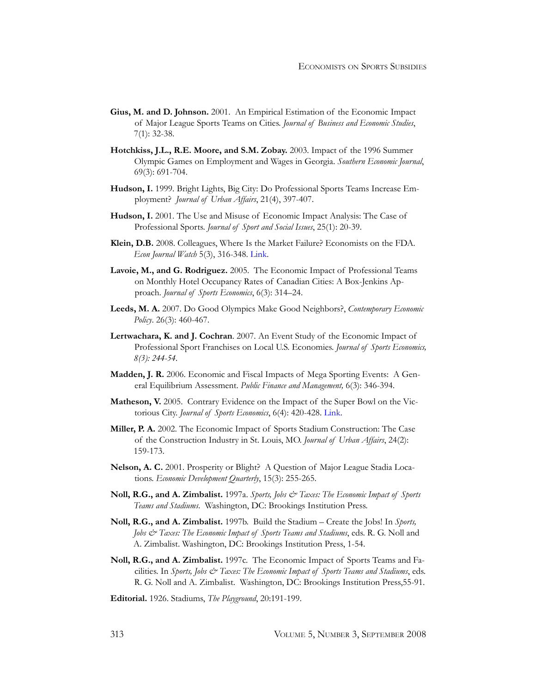- **Gius, M. and D. Johnson.** 2001. An Empirical Estimation of the Economic Impact of Major League Sports Teams on Cities. *Journal of Business and Economic Studies*, 7(1): 32-38.
- **Hotchkiss, J.L., R.E. Moore, and S.M. Zobay.** 2003. Impact of the 1996 Summer Olympic Games on Employment and Wages in Georgia. *Southern Economic Journal*, 69(3): 691-704.
- **Hudson, I.** 1999. Bright Lights, Big City: Do Professional Sports Teams Increase Employment? *Journal of Urban Affairs*, 21(4), 397-407.
- **Hudson, I.** 2001. The Use and Misuse of Economic Impact Analysis: The Case of Professional Sports. *Journal of Sport and Social Issues*, 25(1): 20-39.
- **Klein, D.B.** 2008. Colleagues, Where Is the Market Failure? Economists on the FDA. *Econ Journal Watch* 5(3), 316-348. [Link](http://www.econjournalwatch.org/pdf/KleinTyrannySeptember2008.pdf).
- **Lavoie, M., and G. Rodriguez.** 2005. The Economic Impact of Professional Teams on Monthly Hotel Occupancy Rates of Canadian Cities: A Box-Jenkins Approach. *Journal of Sports Economics*, 6(3): 314–24.
- **Leeds, M. A.** 2007. Do Good Olympics Make Good Neighbors?, *Contemporary Economic Policy*. 26(3): 460-467.
- **Lertwachara, K. and J. Cochran**. 2007. An Event Study of the Economic Impact of Professional Sport Franchises on Local U.S. Economies. *Journal of Sports Economics, 8(3): 244-54.*
- **Madden, J. R.** 2006. Economic and Fiscal Impacts of Mega Sporting Events: A General Equilibrium Assessment. *Public Finance and Management,* 6(3): 346-394.
- **Matheson, V.** 2005. Contrary Evidence on the Impact of the Super Bowl on the Victorious City. *Journal of Sports Economics*, 6(4): 420-428. [Link](http://www.holycross.edu/departments/economics/vmatheso/research/sb-winners.pdf).
- **Miller, P. A.** 2002. The Economic Impact of Sports Stadium Construction: The Case of the Construction Industry in St. Louis, MO. *Journal of Urban Affairs*, 24(2): 159-173.
- **Nelson, A. C.** 2001. Prosperity or Blight? A Question of Major League Stadia Locations. *Economic Development Quarterly*, 15(3): 255-265.
- **Noll, R.G., and A. Zimbalist.** 1997a. *Sports, Jobs & Taxes: The Economic Impact of Sports Teams and Stadiums*. Washington, DC: Brookings Institution Press.
- **Noll, R.G., and A. Zimbalist.** 1997b. Build the Stadium Create the Jobs! In *Sports, Jobs & Taxes: The Economic Impact of Sports Teams and Stadiums*, eds. R. G. Noll and A. Zimbalist. Washington, DC: Brookings Institution Press, 1-54.
- **Noll, R.G., and A. Zimbalist.** 1997c. The Economic Impact of Sports Teams and Facilities. In *Sports, Jobs & Taxes: The Economic Impact of Sports Teams and Stadiums*, eds. R. G. Noll and A. Zimbalist. Washington, DC: Brookings Institution Press,55-91.
- **Editorial.** 1926. Stadiums, *The Playground*, 20:191-199.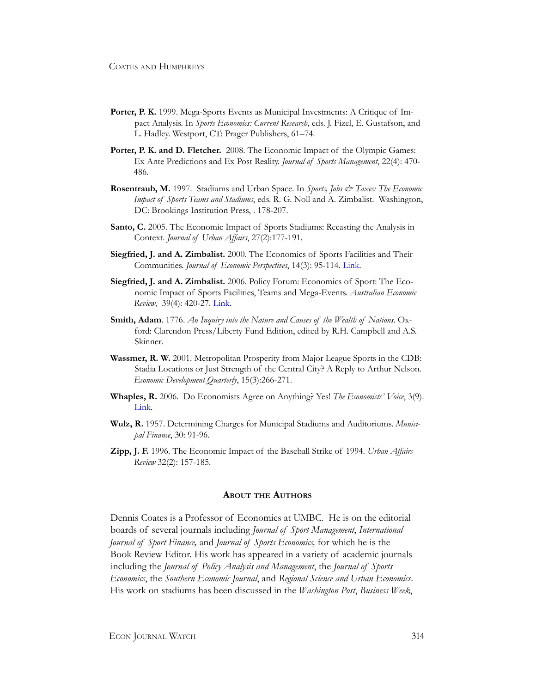- **Porter, P. K.** 1999. Mega-Sports Events as Municipal Investments: A Critique of Impact Analysis. In *Sports Economics: Current Research*, eds. J. Fizel, E. Gustafson, and L. Hadley. Westport, CT: Prager Publishers, 61–74.
- **Porter, P. K. and D. Fletcher.** 2008. The Economic Impact of the Olympic Games: Ex Ante Predictions and Ex Post Reality. *Journal of Sports Management*, 22(4): 470- 486.
- **Rosentraub, M.** 1997. Stadiums and Urban Space. In *Sports, Jobs & Taxes: The Economic Impact of Sports Teams and Stadiums*, eds. R. G. Noll and A. Zimbalist. Washington, DC: Brookings Institution Press, . 178-207.
- **Santo, C.** 2005. The Economic Impact of Sports Stadiums: Recasting the Analysis in Context. *Journal of Urban Affairs*, 27(2):177-191.
- **Siegfried, J. and A. Zimbalist.** 2000. The Economics of Sports Facilities and Their Communities. *Journal of Economic Perspectives*, 14(3): 95-114. [Link](http://web.ebscohost.com.proxy-bc.researchport.umd.edu/ehost/viewarticle?data=dGJyMPPp44rp2%2fdV0%2bnjisfk5Ie42N%2bE8tnsjPek63nn5Kx95uXxjL6rrUmzpbBIrq6eSbiosFKwrJ5oy5zyit%2fk8Xnh6ueH7N%2fiVauorky0prVQrqykhN%2fk5VXj5KR84LPje%2byc8nnls79mpNfsVa6rski3qq4%2b5OXwhd%2fqu37z4uqM4%2b7y&hid=107).
- **Siegfried, J. and A. Zimbalist.** 2006. Policy Forum: Economics of Sport: The Economic Impact of Sports Facilities, Teams and Mega-Events. *Australian Economic Review*, 39(4): 420-27. [Link](http://web.ebscohost.com.proxy-bc.researchport.umd.edu/ehost/viewarticle?data=dGJyMPPp44rp2%2fdV0%2bnjisfk5Ie42N%2bE8tnsjPek63nn5Kx95uXxjL6rrUmzpbBIrq6eSbiosFKwrJ5oy5zyit%2fk8Xnh6ueH7N%2fiVauorky0prVQrqykhN%2fk5VXj5KR84LPje%2byc8nnls79mpNfsVa6vrkmvq7c%2b5OXwhd%2fqu37z4uqM4%2b7y&hid=107).
- **Smith, Adam**. 1776. *An Inquiry into the Nature and Causes of the Wealth of Nations*. Oxford: Clarendon Press/Liberty Fund Edition, edited by R.H. Campbell and A.S. Skinner.
- **Wassmer, R. W.** 2001. Metropolitan Prosperity from Major League Sports in the CDB: Stadia Locations or Just Strength of the Central City? A Reply to Arthur Nelson. *Economic Development Quarterly*, 15(3):266-271.
- **Whaples, R.** 2006. Do Economists Agree on Anything? Yes! *The Economists' Voice*, 3(9). [Link](http://www.bepress.com/ev/vol3/iss9/art1).
- **Wulz, R.** 1957. Determining Charges for Municipal Stadiums and Auditoriums. *Municipal Finance*, 30: 91-96.
- **Zipp, J. F.** 1996. The Economic Impact of the Baseball Strike of 1994. *Urban Affairs Review* 32(2): 157-185.

#### **About the Authors**

Dennis Coates is a Professor of Economics at UMBC. He is on the editorial boards of several journals including *Journal of Sport Management*, *International Journal of Sport Finance,* and *Journal of Sports Economics,* for which he is the Book Review Editor. His work has appeared in a variety of academic journals including the *Journal of Policy Analysis and Management*, the *Journal of Sports Economics*, the *Southern Economic Journal*, and *Regional Science and Urban Economics*. His work on stadiums has been discussed in the *Washington Post*, *Business Week*,